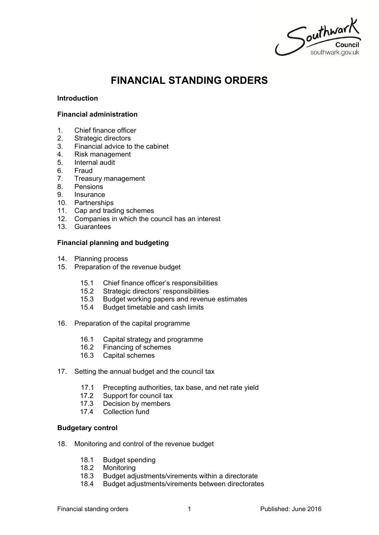Southwark

# **FINANCIAL STANDING ORDERS**

#### **Introduction**

#### **Financial administration**

- 1. Chief finance officer
- 2. Strategic directors
- 3. Financial advice to the cabinet<br>4. Risk management
- 4. Risk management
- 5. Internal audit
- 6. Fraud
- 7. Treasury management
- 8. Pensions
- 9. Insurance
- 10. Partnerships
- 11. Cap and trading schemes
- 12. Companies in which the council has an interest
- 13. Guarantees

#### **Financial planning and budgeting**

- 14. Planning process
- 15. Preparation of the revenue budget
	- 15.1 Chief finance officer's responsibilities
	- 15.2 Strategic directors' responsibilities
	- 15.3 Budget working papers and revenue estimates
	- 15.4 Budget timetable and cash limits
- 16. Preparation of the capital programme
	- 16.1 Capital strategy and programme<br>16.2 Financing of schemes
	- Financing of schemes
	- 16.3 Capital schemes
- 17. Setting the annual budget and the council tax
	- 17.1 Precepting authorities, tax base, and net rate yield
	- 17.2 Support for council tax
	- 17.3 Decision by members
	- 17.4 Collection fund

#### **Budgetary control**

- 18. Monitoring and control of the revenue budget
	- 18.1 Budget spending
	- 18.2 Monitoring
	- 18.3 Budget adjustments/virements within a directorate
	- 18.4 Budget adjustments/virements between directorates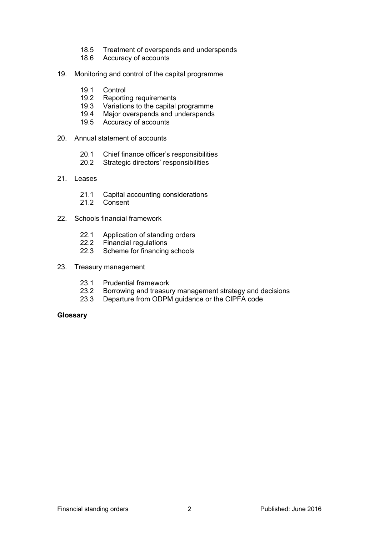- 18.5 Treatment of overspends and underspends
- 18.6 Accuracy of accounts
- 19. Monitoring and control of the capital programme
	- 19.1 Control
	- 19.2 Reporting requirements
	- 19.3 Variations to the capital programme
	- 19.4 Major overspends and underspends
	- 19.5 Accuracy of accounts
- 20. Annual statement of accounts
	- 20.1 Chief finance officer's responsibilities
	- 20.2 Strategic directors' responsibilities
- 21. Leases
	- 21.1 Capital accounting considerations
	- 21.2 Consent
- 22. Schools financial framework
	- 22.1 Application of standing orders
	- 22.2 Financial regulations
	- 22.3 Scheme for financing schools
- 23. Treasury management
	- 23.1 Prudential framework
	- 23.2 Borrowing and treasury management strategy and decisions
	- 23.3 Departure from ODPM guidance or the CIPFA code

#### **Glossary**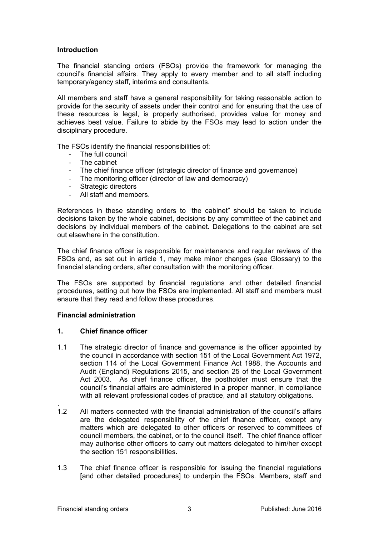#### **Introduction**

The financial standing orders (FSOs) provide the framework for managing the council's financial affairs. They apply to every member and to all staff including temporary/agency staff, interims and consultants.

All members and staff have a general responsibility for taking reasonable action to provide for the security of assets under their control and for ensuring that the use of these resources is legal, is properly authorised, provides value for money and achieves best value. Failure to abide by the FSOs may lead to action under the disciplinary procedure.

The FSOs identify the financial responsibilities of:

- The full council
- The cabinet
- The chief finance officer (strategic director of finance and governance)
- The monitoring officer (director of law and democracy)
- Strategic directors
- All staff and members.

References in these standing orders to "the cabinet" should be taken to include decisions taken by the whole cabinet, decisions by any committee of the cabinet and decisions by individual members of the cabinet. Delegations to the cabinet are set out elsewhere in the constitution.

The chief finance officer is responsible for maintenance and regular reviews of the FSOs and, as set out in article 1, may make minor changes (see Glossary) to the financial standing orders, after consultation with the monitoring officer.

The FSOs are supported by financial regulations and other detailed financial procedures, setting out how the FSOs are implemented. All staff and members must ensure that they read and follow these procedures.

#### **Financial administration**

#### **1. Chief finance officer**

- 1.1 The strategic director of finance and governance is the officer appointed by the council in accordance with section 151 of the Local Government Act 1972, section 114 of the Local Government Finance Act 1988, the Accounts and Audit (England) Regulations 2015, and section 25 of the Local Government Act 2003. As chief finance officer, the postholder must ensure that the council's financial affairs are administered in a proper manner, in compliance with all relevant professional codes of practice, and all statutory obligations.
- . 1.2 All matters connected with the financial administration of the council's affairs are the delegated responsibility of the chief finance officer, except any matters which are delegated to other officers or reserved to committees of council members, the cabinet, or to the council itself. The chief finance officer may authorise other officers to carry out matters delegated to him/her except the section 151 responsibilities.
- 1.3 The chief finance officer is responsible for issuing the financial regulations [and other detailed procedures] to underpin the FSOs. Members, staff and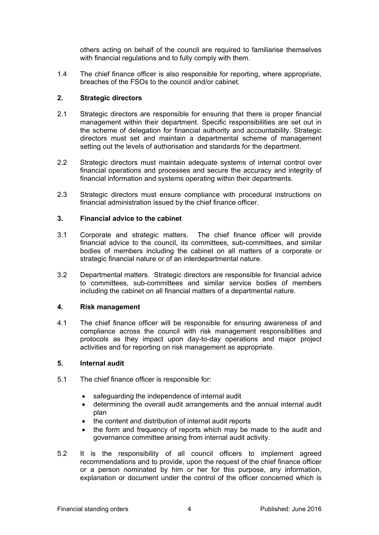others acting on behalf of the council are required to familiarise themselves with financial regulations and to fully comply with them.

1.4 The chief finance officer is also responsible for reporting, where appropriate, breaches of the FSOs to the council and/or cabinet.

#### **2. Strategic directors**

- 2.1 Strategic directors are responsible for ensuring that there is proper financial management within their department. Specific responsibilities are set out in the scheme of delegation for financial authority and accountability. Strategic directors must set and maintain a departmental scheme of management setting out the levels of authorisation and standards for the department.
- 2.2 Strategic directors must maintain adequate systems of internal control over financial operations and processes and secure the accuracy and integrity of financial information and systems operating within their departments.
- 2.3 Strategic directors must ensure compliance with procedural instructions on financial administration issued by the chief finance officer.

#### **3. Financial advice to the cabinet**

- 3.1 Corporate and strategic matters. The chief finance officer will provide financial advice to the council, its committees, sub-committees, and similar bodies of members including the cabinet on all matters of a corporate or strategic financial nature or of an interdepartmental nature.
- 3.2 Departmental matters. Strategic directors are responsible for financial advice to committees, sub-committees and similar service bodies of members including the cabinet on all financial matters of a departmental nature.

#### **4. Risk management**

4.1 The chief finance officer will be responsible for ensuring awareness of and compliance across the council with risk management responsibilities and protocols as they impact upon day-to-day operations and major project activities and for reporting on risk management as appropriate.

#### **5. Internal audit**

- 5.1 The chief finance officer is responsible for:
	- safeguarding the independence of internal audit
	- determining the overall audit arrangements and the annual internal audit plan
	- the content and distribution of internal audit reports
	- the form and frequency of reports which may be made to the audit and governance committee arising from internal audit activity.
- 5.2 It is the responsibility of all council officers to implement agreed recommendations and to provide, upon the request of the chief finance officer or a person nominated by him or her for this purpose, any information, explanation or document under the control of the officer concerned which is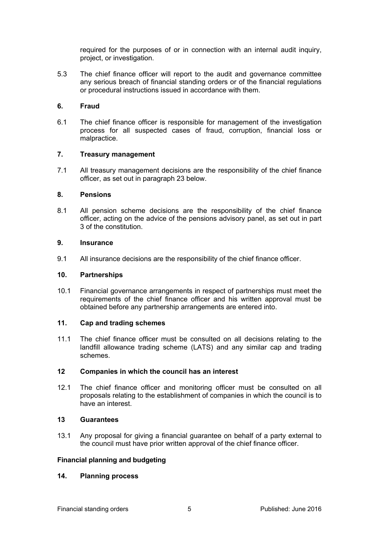required for the purposes of or in connection with an internal audit inquiry, project, or investigation.

5.3 The chief finance officer will report to the audit and governance committee any serious breach of financial standing orders or of the financial regulations or procedural instructions issued in accordance with them.

## **6. Fraud**

6.1 The chief finance officer is responsible for management of the investigation process for all suspected cases of fraud, corruption, financial loss or malpractice.

## **7. Treasury management**

7.1 All treasury management decisions are the responsibility of the chief finance officer, as set out in paragraph 23 below.

#### **8. Pensions**

8.1 All pension scheme decisions are the responsibility of the chief finance officer, acting on the advice of the pensions advisory panel, as set out in part 3 of the constitution.

#### **9. Insurance**

9.1 All insurance decisions are the responsibility of the chief finance officer.

## **10. Partnerships**

10.1 Financial governance arrangements in respect of partnerships must meet the requirements of the chief finance officer and his written approval must be obtained before any partnership arrangements are entered into.

#### **11. Cap and trading schemes**

11.1 The chief finance officer must be consulted on all decisions relating to the landfill allowance trading scheme (LATS) and any similar cap and trading schemes.

## **12 Companies in which the council has an interest**

12.1 The chief finance officer and monitoring officer must be consulted on all proposals relating to the establishment of companies in which the council is to have an interest.

#### **13 Guarantees**

13.1 Any proposal for giving a financial guarantee on behalf of a party external to the council must have prior written approval of the chief finance officer.

## **Financial planning and budgeting**

#### **14. Planning process**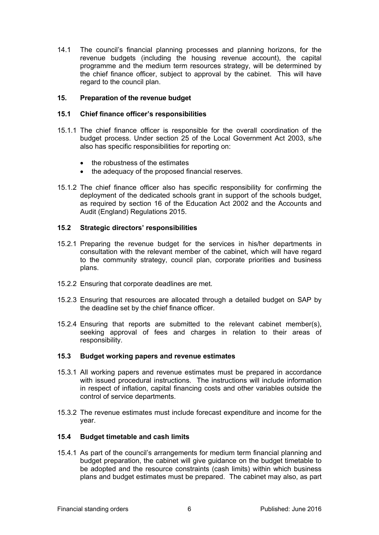14.1 The council's financial planning processes and planning horizons, for the revenue budgets (including the housing revenue account), the capital programme and the medium term resources strategy, will be determined by the chief finance officer, subject to approval by the cabinet. This will have regard to the council plan.

## **15. Preparation of the revenue budget**

#### **15.1 Chief finance officer's responsibilities**

- 15.1.1 The chief finance officer is responsible for the overall coordination of the budget process. Under section 25 of the Local Government Act 2003, s/he also has specific responsibilities for reporting on:
	- the robustness of the estimates
	- the adequacy of the proposed financial reserves.
- 15.1.2 The chief finance officer also has specific responsibility for confirming the deployment of the dedicated schools grant in support of the schools budget, as required by section 16 of the Education Act 2002 and the Accounts and Audit (England) Regulations 2015.

#### **15.2 Strategic directors' responsibilities**

- 15.2.1 Preparing the revenue budget for the services in his/her departments in consultation with the relevant member of the cabinet, which will have regard to the community strategy, council plan, corporate priorities and business plans.
- 15.2.2 Ensuring that corporate deadlines are met.
- 15.2.3 Ensuring that resources are allocated through a detailed budget on SAP by the deadline set by the chief finance officer.
- 15.2.4 Ensuring that reports are submitted to the relevant cabinet member(s), seeking approval of fees and charges in relation to their areas of responsibility.

#### **15.3 Budget working papers and revenue estimates**

- 15.3.1 All working papers and revenue estimates must be prepared in accordance with issued procedural instructions. The instructions will include information in respect of inflation, capital financing costs and other variables outside the control of service departments.
- 15.3.2 The revenue estimates must include forecast expenditure and income for the year.

## **15.4 Budget timetable and cash limits**

15.4.1 As part of the council's arrangements for medium term financial planning and budget preparation, the cabinet will give guidance on the budget timetable to be adopted and the resource constraints (cash limits) within which business plans and budget estimates must be prepared. The cabinet may also, as part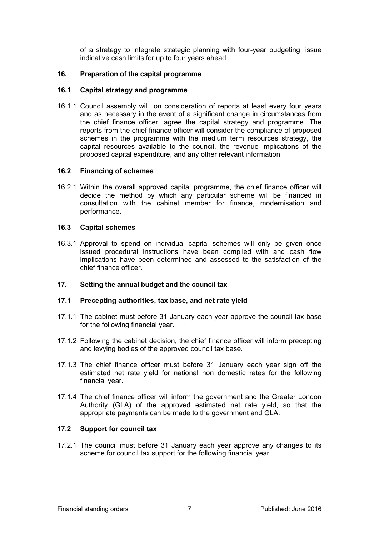of a strategy to integrate strategic planning with four-year budgeting, issue indicative cash limits for up to four years ahead.

## **16. Preparation of the capital programme**

## **16.1 Capital strategy and programme**

16.1.1 Council assembly will, on consideration of reports at least every four years and as necessary in the event of a significant change in circumstances from the chief finance officer, agree the capital strategy and programme. The reports from the chief finance officer will consider the compliance of proposed schemes in the programme with the medium term resources strategy, the capital resources available to the council, the revenue implications of the proposed capital expenditure, and any other relevant information.

## **16.2 Financing of schemes**

16.2.1 Within the overall approved capital programme, the chief finance officer will decide the method by which any particular scheme will be financed in consultation with the cabinet member for finance, modernisation and performance.

## **16.3 Capital schemes**

16.3.1 Approval to spend on individual capital schemes will only be given once issued procedural instructions have been complied with and cash flow implications have been determined and assessed to the satisfaction of the chief finance officer.

## **17. Setting the annual budget and the council tax**

## **17.1 Precepting authorities, tax base, and net rate yield**

- 17.1.1 The cabinet must before 31 January each year approve the council tax base for the following financial year.
- 17.1.2 Following the cabinet decision, the chief finance officer will inform precepting and levying bodies of the approved council tax base.
- 17.1.3 The chief finance officer must before 31 January each year sign off the estimated net rate yield for national non domestic rates for the following financial year.
- 17.1.4 The chief finance officer will inform the government and the Greater London Authority (GLA) of the approved estimated net rate yield, so that the appropriate payments can be made to the government and GLA.

## **17.2 Support for council tax**

17.2.1 The council must before 31 January each year approve any changes to its scheme for council tax support for the following financial year.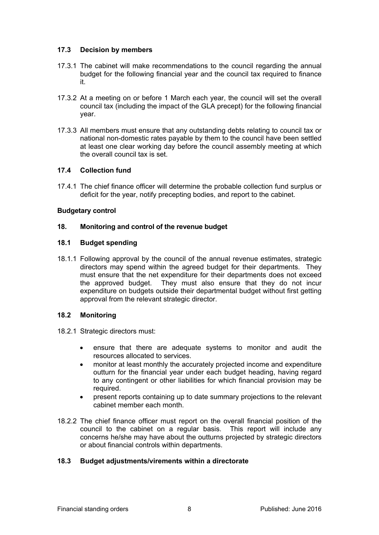## **17.3 Decision by members**

- 17.3.1 The cabinet will make recommendations to the council regarding the annual budget for the following financial year and the council tax required to finance it.
- 17.3.2 At a meeting on or before 1 March each year, the council will set the overall council tax (including the impact of the GLA precept) for the following financial year.
- 17.3.3 All members must ensure that any outstanding debts relating to council tax or national non-domestic rates payable by them to the council have been settled at least one clear working day before the council assembly meeting at which the overall council tax is set.

## **17.4 Collection fund**

17.4.1 The chief finance officer will determine the probable collection fund surplus or deficit for the year, notify precepting bodies, and report to the cabinet.

## **Budgetary control**

## **18. Monitoring and control of the revenue budget**

## **18.1 Budget spending**

18.1.1 Following approval by the council of the annual revenue estimates, strategic directors may spend within the agreed budget for their departments. They must ensure that the net expenditure for their departments does not exceed the approved budget. They must also ensure that they do not incur expenditure on budgets outside their departmental budget without first getting approval from the relevant strategic director.

## **18.2 Monitoring**

- 18.2.1 Strategic directors must:
	- ensure that there are adequate systems to monitor and audit the resources allocated to services.
	- monitor at least monthly the accurately projected income and expenditure outturn for the financial year under each budget heading, having regard to any contingent or other liabilities for which financial provision may be required.
	- present reports containing up to date summary projections to the relevant cabinet member each month.
- 18.2.2 The chief finance officer must report on the overall financial position of the council to the cabinet on a regular basis. This report will include any concerns he/she may have about the outturns projected by strategic directors or about financial controls within departments.

## **18.3 Budget adjustments/virements within a directorate**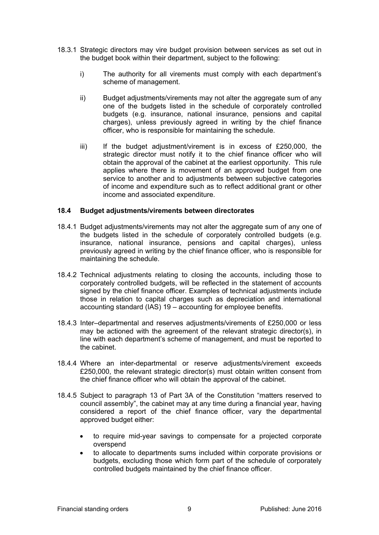- 18.3.1 Strategic directors may vire budget provision between services as set out in the budget book within their department, subject to the following:
	- i) The authority for all virements must comply with each department's scheme of management.
	- ii) Budget adjustments/virements may not alter the aggregate sum of any one of the budgets listed in the schedule of corporately controlled budgets (e.g. insurance, national insurance, pensions and capital charges), unless previously agreed in writing by the chief finance officer, who is responsible for maintaining the schedule.
	- iii) If the budget adjustment/virement is in excess of £250,000, the strategic director must notify it to the chief finance officer who will obtain the approval of the cabinet at the earliest opportunity. This rule applies where there is movement of an approved budget from one service to another and to adjustments between subjective categories of income and expenditure such as to reflect additional grant or other income and associated expenditure.

#### **18.4 Budget adjustments/virements between directorates**

- 18.4.1 Budget adjustments/virements may not alter the aggregate sum of any one of the budgets listed in the schedule of corporately controlled budgets (e.g. insurance, national insurance, pensions and capital charges), unless previously agreed in writing by the chief finance officer, who is responsible for maintaining the schedule.
- 18.4.2 Technical adjustments relating to closing the accounts, including those to corporately controlled budgets, will be reflected in the statement of accounts signed by the chief finance officer. Examples of technical adjustments include those in relation to capital charges such as depreciation and international accounting standard (IAS) 19 – accounting for employee benefits.
- 18.4.3 Inter–departmental and reserves adjustments/virements of £250,000 or less may be actioned with the agreement of the relevant strategic director(s), in line with each department's scheme of management, and must be reported to the cabinet.
- 18.4.4 Where an inter-departmental or reserve adjustments/virement exceeds £250,000, the relevant strategic director(s) must obtain written consent from the chief finance officer who will obtain the approval of the cabinet.
- 18.4.5 Subject to paragraph 13 of Part 3A of the Constitution "matters reserved to council assembly", the cabinet may at any time during a financial year, having considered a report of the chief finance officer, vary the departmental approved budget either:
	- to require mid-year savings to compensate for a projected corporate overspend
	- to allocate to departments sums included within corporate provisions or budgets, excluding those which form part of the schedule of corporately controlled budgets maintained by the chief finance officer.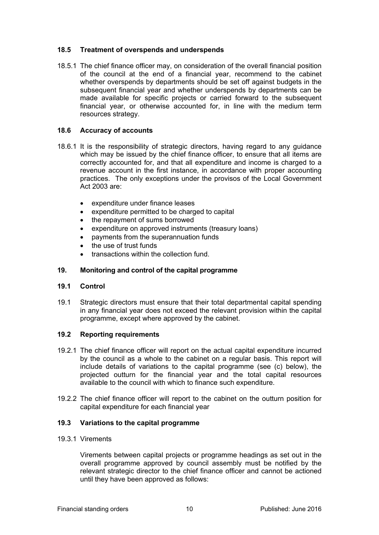## **18.5 Treatment of overspends and underspends**

18.5.1 The chief finance officer may, on consideration of the overall financial position of the council at the end of a financial year, recommend to the cabinet whether overspends by departments should be set off against budgets in the subsequent financial year and whether underspends by departments can be made available for specific projects or carried forward to the subsequent financial year, or otherwise accounted for, in line with the medium term resources strategy.

## **18.6 Accuracy of accounts**

- 18.6.1 It is the responsibility of strategic directors, having regard to any guidance which may be issued by the chief finance officer, to ensure that all items are correctly accounted for, and that all expenditure and income is charged to a revenue account in the first instance, in accordance with proper accounting practices. The only exceptions under the provisos of the Local Government Act 2003 are:
	- expenditure under finance leases
	- expenditure permitted to be charged to capital
	- the repayment of sums borrowed
	- expenditure on approved instruments (treasury loans)
	- payments from the superannuation funds
	- the use of trust funds
	- transactions within the collection fund.

## **19. Monitoring and control of the capital programme**

## **19.1 Control**

19.1 Strategic directors must ensure that their total departmental capital spending in any financial year does not exceed the relevant provision within the capital programme, except where approved by the cabinet.

## **19.2 Reporting requirements**

- 19.2.1 The chief finance officer will report on the actual capital expenditure incurred by the council as a whole to the cabinet on a regular basis. This report will include details of variations to the capital programme (see (c) below), the projected outturn for the financial year and the total capital resources available to the council with which to finance such expenditure.
- 19.2.2 The chief finance officer will report to the cabinet on the outturn position for capital expenditure for each financial year

## **19.3 Variations to the capital programme**

#### 19.3.1 Virements

Virements between capital projects or programme headings as set out in the overall programme approved by council assembly must be notified by the relevant strategic director to the chief finance officer and cannot be actioned until they have been approved as follows: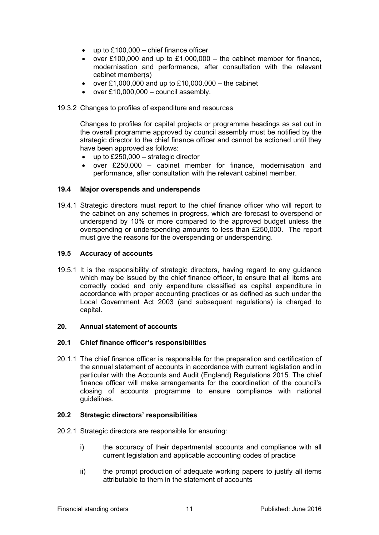- $\bullet$  up to £100,000 chief finance officer
- over £100,000 and up to £1,000,000 the cabinet member for finance, modernisation and performance, after consultation with the relevant cabinet member(s)
- over £1,000,000 and up to £10,000,000 the cabinet
- $\bullet$  over £10,000,000 council assembly.

## 19.3.2 Changes to profiles of expenditure and resources

Changes to profiles for capital projects or programme headings as set out in the overall programme approved by council assembly must be notified by the strategic director to the chief finance officer and cannot be actioned until they have been approved as follows:

- up to £250,000 strategic director
- over £250,000 cabinet member for finance, modernisation and performance, after consultation with the relevant cabinet member.

## **19.4 Major overspends and underspends**

19.4.1 Strategic directors must report to the chief finance officer who will report to the cabinet on any schemes in progress, which are forecast to overspend or underspend by 10% or more compared to the approved budget unless the overspending or underspending amounts to less than £250,000. The report must give the reasons for the overspending or underspending.

## **19.5 Accuracy of accounts**

19.5.1 It is the responsibility of strategic directors, having regard to any guidance which may be issued by the chief finance officer, to ensure that all items are correctly coded and only expenditure classified as capital expenditure in accordance with proper accounting practices or as defined as such under the Local Government Act 2003 (and subsequent regulations) is charged to capital.

## **20. Annual statement of accounts**

## **20.1 Chief finance officer's responsibilities**

20.1.1 The chief finance officer is responsible for the preparation and certification of the annual statement of accounts in accordance with current legislation and in particular with the Accounts and Audit (England) Regulations 2015. The chief finance officer will make arrangements for the coordination of the council's closing of accounts programme to ensure compliance with national guidelines.

## **20.2 Strategic directors' responsibilities**

- 20.2.1 Strategic directors are responsible for ensuring:
	- i) the accuracy of their departmental accounts and compliance with all current legislation and applicable accounting codes of practice
	- ii) the prompt production of adequate working papers to justify all items attributable to them in the statement of accounts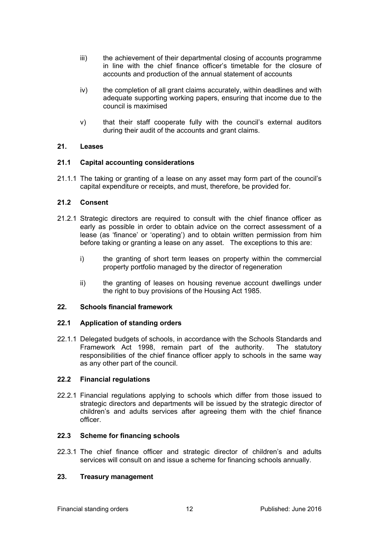- iii) the achievement of their departmental closing of accounts programme in line with the chief finance officer's timetable for the closure of accounts and production of the annual statement of accounts
- iv) the completion of all grant claims accurately, within deadlines and with adequate supporting working papers, ensuring that income due to the council is maximised
- v) that their staff cooperate fully with the council's external auditors during their audit of the accounts and grant claims.

## **21. Leases**

## **21.1 Capital accounting considerations**

21.1.1 The taking or granting of a lease on any asset may form part of the council's capital expenditure or receipts, and must, therefore, be provided for.

## **21.2 Consent**

- 21.2.1 Strategic directors are required to consult with the chief finance officer as early as possible in order to obtain advice on the correct assessment of a lease (as 'finance' or 'operating') and to obtain written permission from him before taking or granting a lease on any asset. The exceptions to this are:
	- i) the granting of short term leases on property within the commercial property portfolio managed by the director of regeneration
	- ii) the granting of leases on housing revenue account dwellings under the right to buy provisions of the Housing Act 1985.

## **22. Schools financial framework**

## **22.1 Application of standing orders**

22.1.1 Delegated budgets of schools, in accordance with the Schools Standards and Framework Act 1998, remain part of the authority. The statutory responsibilities of the chief finance officer apply to schools in the same way as any other part of the council.

## **22.2 Financial regulations**

22.2.1 Financial regulations applying to schools which differ from those issued to strategic directors and departments will be issued by the strategic director of children's and adults services after agreeing them with the chief finance officer.

## **22.3 Scheme for financing schools**

22.3.1 The chief finance officer and strategic director of children's and adults services will consult on and issue a scheme for financing schools annually.

## **23. Treasury management**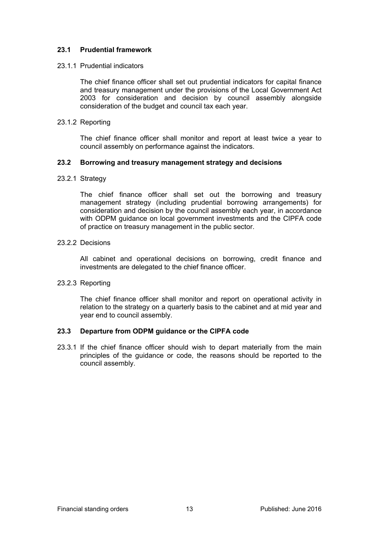## **23.1 Prudential framework**

#### 23.1.1 Prudential indicators

The chief finance officer shall set out prudential indicators for capital finance and treasury management under the provisions of the Local Government Act 2003 for consideration and decision by council assembly alongside consideration of the budget and council tax each year.

#### 23.1.2 Reporting

The chief finance officer shall monitor and report at least twice a year to council assembly on performance against the indicators.

#### **23.2 Borrowing and treasury management strategy and decisions**

#### 23.2.1 Strategy

The chief finance officer shall set out the borrowing and treasury management strategy (including prudential borrowing arrangements) for consideration and decision by the council assembly each year, in accordance with ODPM guidance on local government investments and the CIPFA code of practice on treasury management in the public sector.

#### 23.2.2 Decisions

All cabinet and operational decisions on borrowing, credit finance and investments are delegated to the chief finance officer.

## 23.2.3 Reporting

The chief finance officer shall monitor and report on operational activity in relation to the strategy on a quarterly basis to the cabinet and at mid year and year end to council assembly.

## **23.3 Departure from ODPM guidance or the CIPFA code**

23.3.1 If the chief finance officer should wish to depart materially from the main principles of the guidance or code, the reasons should be reported to the council assembly.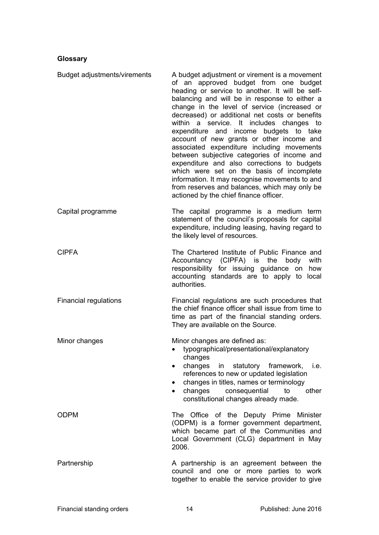# **Glossary**

| Budget adjustments/virements | A budget adjustment or virement is a movement<br>of an approved budget from one budget<br>heading or service to another. It will be self-<br>balancing and will be in response to either a<br>change in the level of service (increased or<br>decreased) or additional net costs or benefits<br>within a service. It includes changes to<br>expenditure and income budgets to take<br>account of new grants or other income and<br>associated expenditure including movements<br>between subjective categories of income and<br>expenditure and also corrections to budgets<br>which were set on the basis of incomplete<br>information. It may recognise movements to and<br>from reserves and balances, which may only be<br>actioned by the chief finance officer. |
|------------------------------|-----------------------------------------------------------------------------------------------------------------------------------------------------------------------------------------------------------------------------------------------------------------------------------------------------------------------------------------------------------------------------------------------------------------------------------------------------------------------------------------------------------------------------------------------------------------------------------------------------------------------------------------------------------------------------------------------------------------------------------------------------------------------|
| Capital programme            | The capital programme is a medium term<br>statement of the council's proposals for capital<br>expenditure, including leasing, having regard to<br>the likely level of resources.                                                                                                                                                                                                                                                                                                                                                                                                                                                                                                                                                                                      |
| <b>CIPFA</b>                 | The Chartered Institute of Public Finance and<br>Accountancy (CIPFA) is<br>with<br>the<br>body<br>responsibility for issuing guidance on<br>how<br>accounting standards are to apply to local<br>authorities.                                                                                                                                                                                                                                                                                                                                                                                                                                                                                                                                                         |
| <b>Financial regulations</b> | Financial regulations are such procedures that<br>the chief finance officer shall issue from time to<br>time as part of the financial standing orders.<br>They are available on the Source.                                                                                                                                                                                                                                                                                                                                                                                                                                                                                                                                                                           |
| Minor changes                | Minor changes are defined as:<br>typographical/presentational/explanatory<br>$\bullet$<br>changes<br>changes in statutory framework, i.e.<br>references to new or updated legislation<br>changes in titles, names or terminology<br>$\bullet$<br>changes consequential<br>to<br>other<br>$\bullet$<br>constitutional changes already made.                                                                                                                                                                                                                                                                                                                                                                                                                            |
| <b>ODPM</b>                  | The Office of the Deputy Prime Minister<br>(ODPM) is a former government department,<br>which became part of the Communities and<br>Local Government (CLG) department in May<br>2006.                                                                                                                                                                                                                                                                                                                                                                                                                                                                                                                                                                                 |
| Partnership                  | A partnership is an agreement between the<br>council and one or more parties to work<br>together to enable the service provider to give                                                                                                                                                                                                                                                                                                                                                                                                                                                                                                                                                                                                                               |